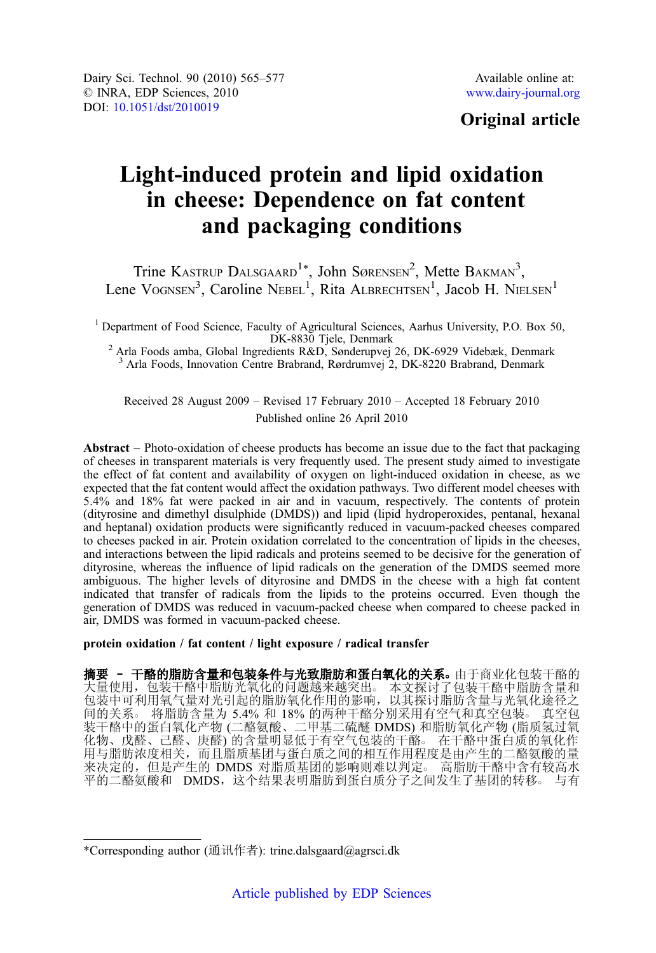# Original article

# Light-induced protein and lipid oxidation in cheese: Dependence on fat content and packaging conditions

Trine KASTRUP DALSGAARD<sup>1\*</sup>, John SØRENSEN<sup>2</sup>, Mette BAKMAN<sup>3</sup>, Lene VOGNSEN<sup>3</sup>, Caroline NEBEL<sup>1</sup>, Rita ALBRECHTSEN<sup>1</sup>, Jacob H. NIELSEN<sup>1</sup>

<sup>1</sup> Department of Food Science, Faculty of Agricultural Sciences, Aarhus University, P.O. Box 50, DK-8830 Tjele, Denmark

 $^{2}$  Arla Foods amba, Global Ingredients R&D, Sønderupvej 26, DK-6929 Videbæk, Denmark <sup>3</sup> Arla Foods, Innovation Centre Brabrand, Rørdrumvej 2, DK-8220 Brabrand, Denmark

Received 28 August 2009 – Revised 17 February 2010 – Accepted 18 February 2010 Published online 26 April 2010

Abstract – Photo-oxidation of cheese products has become an issue due to the fact that packaging of cheeses in transparent materials is very frequently used. The present study aimed to investigate the effect of fat content and availability of oxygen on light-induced oxidation in cheese, as we expected that the fat content would affect the oxidation pathways. Two different model cheeses with 5.4% and 18% fat were packed in air and in vacuum, respectively. The contents of protein (dityrosine and dimethyl disulphide (DMDS)) and lipid (lipid hydroperoxides, pentanal, hexanal and heptanal) oxidation products were significantly reduced in vacuum-packed cheeses compared to cheeses packed in air. Protein oxidation correlated to the concentration of lipids in the cheeses, and interactions between the lipid radicals and proteins seemed to be decisive for the generation of dityrosine, whereas the influence of lipid radicals on the generation of the DMDS seemed more ambiguous. The higher levels of dityrosine and DMDS in the cheese with a high fat content indicated that transfer of radicals from the lipids to the proteins occurred. Even though the generation of DMDS was reduced in vacuum-packed cheese when compared to cheese packed in air, DMDS was formed in vacuum-packed cheese.

protein oxidation / fat content / light exposure / radical transfer

摘要 - 干酪的脂肪含量和包装条件与光致脂肪和蛋白氧化的关系。由于商业化包装干酪的 大量使用,包装干酪中脂肪光氧化的问题越来越突出。本文探讨了包装干酪中脂肪含量和 包装中可利用氧气量对光引起的脂肪氧化作用的影响,以其探讨脂肪含量与光氧化途径之 间的关系○ 将脂肪含量为 5.4% 和 18% 的两种干酪分别采用有空气和真空包装○ 真空包 装干酪中的蛋白氧化产物 (二酪氨酸、二甲基二硫醚 DMDS) 和脂肪氧化产物 (脂质氢过氧 化物、戊醛、己醛、庚醛) 的含量明显低于有空气包装的干酪。 在干酪中蛋白质的氧化作 用与脂肪浓度相关,而且脂质基团与蛋白质之间的相互作用程度是由产生的二酪氨酸的量 来决定的,但是产生的 DMDS 对脂质基团的影响则难以判定。高脂肪干酪中含有较高水 →<br>平的二酪氨酸和 DMDS,这个结果表明脂肪到蛋白质分子之间发生了基团的转移。 与有

<sup>\*</sup>Corresponding author (通讯作者): trine.dalsgaard@agrsci.dk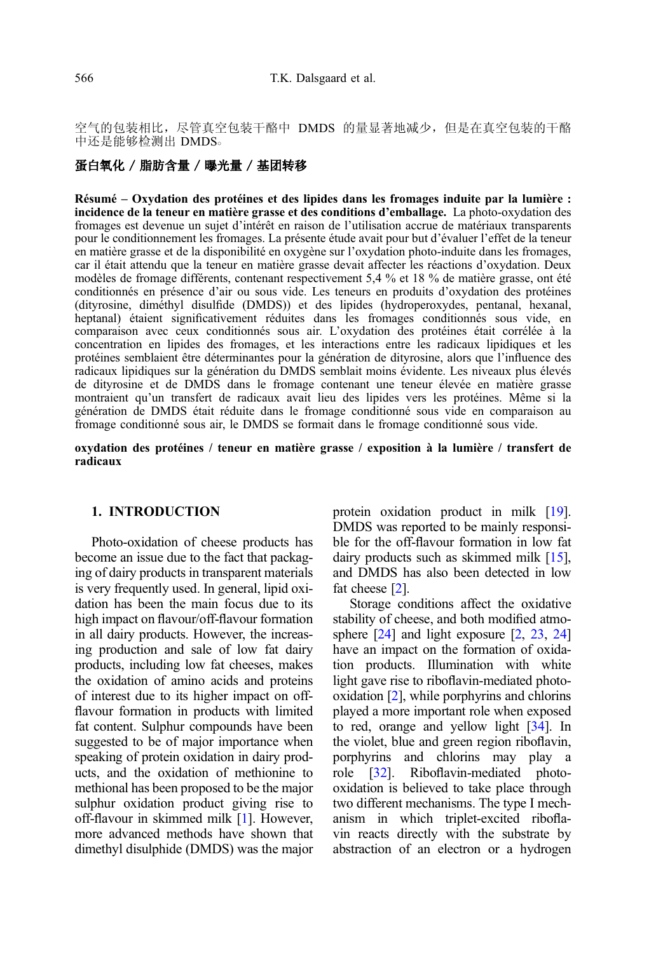空气的包装相比,尽管真空包装干酪中 DMDS 的量显著地减少,但是在真空包装的干酪 中还是能够检测出 DMDS。

# 蛋白氧化 / 脂肪含量 / 曝光量 / 基团转移

Résumé – Oxydation des protéines et des lipides dans les fromages induite par la lumière : incidence de la teneur en matière grasse et des conditions d'emballage. La photo-oxydation des fromages est devenue un sujet d'intérêt en raison de l'utilisation accrue de matériaux transparents pour le conditionnement les fromages. La présente étude avait pour but d'évaluer l'effet de la teneur en matière grasse et de la disponibilité en oxygène sur l'oxydation photo-induite dans les fromages, car il était attendu que la teneur en matière grasse devait affecter les réactions d'oxydation. Deux modèles de fromage différents, contenant respectivement 5,4 % et 18 % de matière grasse, ont été conditionnés en présence d'air ou sous vide. Les teneurs en produits d'oxydation des protéines (dityrosine, diméthyl disulfide (DMDS)) et des lipides (hydroperoxydes, pentanal, hexanal, heptanal) étaient significativement réduites dans les fromages conditionnés sous vide, en comparaison avec ceux conditionnés sous air. L'oxydation des protéines était corrélée à la concentration en lipides des fromages, et les interactions entre les radicaux lipidiques et les protéines semblaient être déterminantes pour la génération de dityrosine, alors que l'influence des radicaux lipidiques sur la génération du DMDS semblait moins évidente. Les niveaux plus élevés de dityrosine et de DMDS dans le fromage contenant une teneur élevée en matière grasse montraient qu'un transfert de radicaux avait lieu des lipides vers les protéines. Même si la génération de DMDS était réduite dans le fromage conditionné sous vide en comparaison au fromage conditionné sous air, le DMDS se formait dans le fromage conditionné sous vide.

#### oxydation des protéines / teneur en matière grasse / exposition à la lumière / transfert de radicaux

# 1. INTRODUCTION

Photo-oxidation of cheese products has become an issue due to the fact that packaging of dairy products in transparent materials is very frequently used. In general, lipid oxidation has been the main focus due to its high impact on flavour/off-flavour formation in all dairy products. However, the increasing production and sale of low fat dairy products, including low fat cheeses, makes the oxidation of amino acids and proteins of interest due to its higher impact on offflavour formation in products with limited fat content. Sulphur compounds have been suggested to be of major importance when speaking of protein oxidation in dairy products, and the oxidation of methionine to methional has been proposed to be the major sulphur oxidation product giving rise to off-flavour in skimmed milk [\[1\]](#page-11-0). However, more advanced methods have shown that dimethyl disulphide (DMDS) was the major protein oxidation product in milk [\[19](#page-11-0)]. DMDS was reported to be mainly responsible for the off-flavour formation in low fat dairy products such as skimmed milk [\[15](#page-11-0)], and DMDS has also been detected in low fat cheese [\[2\]](#page-11-0).

Storage conditions affect the oxidative stability of cheese, and both modified atmo-sphere [[24](#page-11-0)] and light exposure [\[2](#page-11-0), [23](#page-11-0), 24] have an impact on the formation of oxidation products. Illumination with white light gave rise to riboflavin-mediated photooxidation [\[2](#page-11-0)], while porphyrins and chlorins played a more important role when exposed to red, orange and yellow light [\[34\]](#page-12-0). In the violet, blue and green region riboflavin, porphyrins and chlorins may play a role [\[32](#page-12-0)]. Riboflavin-mediated photooxidation is believed to take place through two different mechanisms. The type I mechanism in which triplet-excited riboflavin reacts directly with the substrate by abstraction of an electron or a hydrogen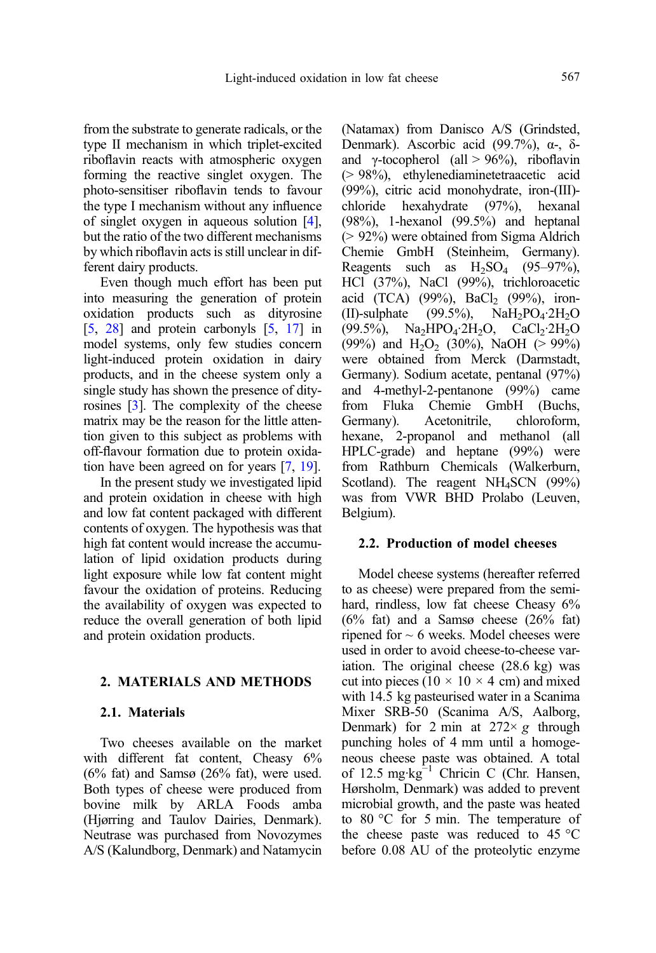from the substrate to generate radicals, or the type II mechanism in which triplet-excited riboflavin reacts with atmospheric oxygen forming the reactive singlet oxygen. The photo-sensitiser riboflavin tends to favour the type I mechanism without any influence of singlet oxygen in aqueous solution [\[4](#page-11-0)], but the ratio of the two different mechanisms by which riboflavin acts is still unclear in different dairy products.

Even though much effort has been put into measuring the generation of protein oxidation products such as dityrosine [[5](#page-11-0), [28\]](#page-12-0) and protein carbonyls [\[5,](#page-11-0) [17\]](#page-11-0) in model systems, only few studies concern light-induced protein oxidation in dairy products, and in the cheese system only a single study has shown the presence of dityrosines [\[3\]](#page-11-0). The complexity of the cheese matrix may be the reason for the little attention given to this subject as problems with off-flavour formation due to protein oxidation have been agreed on for years [\[7](#page-11-0), [19](#page-11-0)].

In the present study we investigated lipid and protein oxidation in cheese with high and low fat content packaged with different contents of oxygen. The hypothesis was that high fat content would increase the accumulation of lipid oxidation products during light exposure while low fat content might favour the oxidation of proteins. Reducing the availability of oxygen was expected to reduce the overall generation of both lipid and protein oxidation products.

# 2. MATERIALS AND METHODS

### 2.1. Materials

Two cheeses available on the market with different fat content. Cheasy 6%  $(6\%$  fat) and Samsø  $(26\%$  fat), were used. Both types of cheese were produced from bovine milk by ARLA Foods amba (Hjørring and Taulov Dairies, Denmark). Neutrase was purchased from Novozymes A/S (Kalundborg, Denmark) and Natamycin (Natamax) from Danisco A/S (Grindsted, Denmark). Ascorbic acid (99.7%), α-, δand γ-tocopherol (all  $> 96\%$ ), riboflavin (> 98%), ethylenediaminetetraacetic acid (99%), citric acid monohydrate, iron-(III) chloride hexahydrate (97%), hexanal (98%), 1-hexanol (99.5%) and heptanal (> 92%) were obtained from Sigma Aldrich Chemie GmbH (Steinheim, Germany). Reagents such as  $H_2SO_4$  (95–97%), HCl (37%), NaCl (99%), trichloroacetic acid (TCA) (99%), BaCl<sub>2</sub> (99%), iron-<br>(II)-sulphate (99.5%), NaH<sub>2</sub>PO<sub>4</sub>.2H<sub>2</sub>O  $NaH<sub>2</sub>PO<sub>4</sub>·2H<sub>2</sub>O$ (99.5%),  $Na<sub>2</sub>HPO<sub>4</sub>·2H<sub>2</sub>O$ ,  $CaCl<sub>2</sub>·2H<sub>2</sub>O$ (99%) and H<sub>2</sub>O<sub>2</sub> (30%), NaOH (> 99%) were obtained from Merck (Darmstadt, Germany). Sodium acetate, pentanal (97%) and 4-methyl-2-pentanone (99%) came from Fluka Chemie GmbH (Buchs, Germany). Acetonitrile, chloroform, hexane, 2-propanol and methanol (all HPLC-grade) and heptane (99%) were from Rathburn Chemicals (Walkerburn, Scotland). The reagent NH<sub>4</sub>SCN (99%) was from VWR BHD Prolabo (Leuven, Belgium).

#### 2.2. Production of model cheeses

Model cheese systems (hereafter referred to as cheese) were prepared from the semihard, rindless, low fat cheese Cheasy  $6\%$  $(6\%$  fat) and a Samsø cheese  $(26\%$  fat) ripened for  $\sim$  6 weeks. Model cheeses were used in order to avoid cheese-to-cheese variation. The original cheese (28.6 kg) was cut into pieces ( $10 \times 10 \times 4$  cm) and mixed with 14.5 kg pasteurised water in a Scanima Mixer SRB-50 (Scanima A/S, Aalborg, Denmark) for 2 min at  $272 \times g$  through punching holes of 4 mm until a homogeneous cheese paste was obtained. A total of 12.5 mg·kg<sup>-1</sup> Chricin C (Chr. Hansen, Hørsholm, Denmark) was added to prevent microbial growth, and the paste was heated to 80 °C for 5 min. The temperature of the cheese paste was reduced to 45 °C before 0.08 AU of the proteolytic enzyme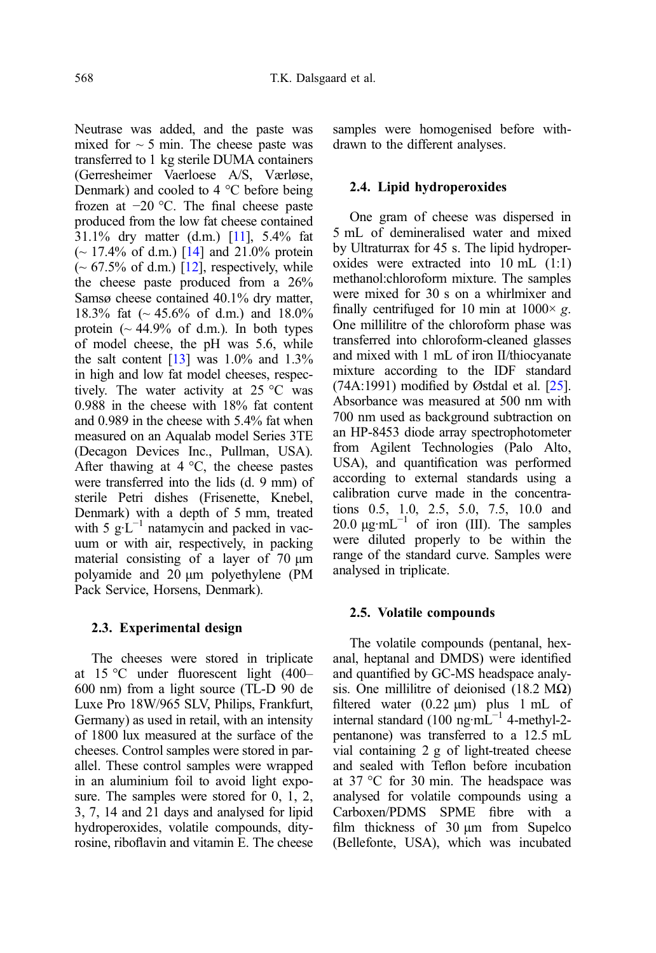Neutrase was added, and the paste was mixed for  $\sim$  5 min. The cheese paste was transferred to 1 kg sterile DUMA containers (Gerresheimer Vaerloese A/S, Værløse, Denmark) and cooled to 4 °C before being frozen at −20 °C. The final cheese paste produced from the low fat cheese contained 31.1% dry matter (d.m.) [\[11\]](#page-11-0), 5.4% fat  $\sim$  17.4% of d.m.) [[14\]](#page-11-0) and 21.0% protein  $\sim 67.5\%$  of d.m.) [\[12\]](#page-11-0), respectively, while the cheese paste produced from a 26% Samsø cheese contained 40.1% dry matter, 18.3% fat (~ 45.6% of d.m.) and 18.0% protein  $($   $\sim$  44.9% of d.m.). In both types of model cheese, the pH was 5.6, while the salt content  $[13]$  was 1.0% and 1.3% in high and low fat model cheeses, respectively. The water activity at 25 °C was 0.988 in the cheese with 18% fat content and 0.989 in the cheese with 5.4% fat when measured on an Aqualab model Series 3TE (Decagon Devices Inc., Pullman, USA). After thawing at  $4^{\circ}$ C, the cheese pastes were transferred into the lids (d. 9 mm) of sterile Petri dishes (Frisenette, Knebel, Denmark) with a depth of 5 mm, treated with 5  $g \hat{L}^{-1}$  natamycin and packed in vacuum or with air, respectively, in packing material consisting of a layer of 70 μm polyamide and 20 μm polyethylene (PM Pack Service, Horsens, Denmark).

# 2.3. Experimental design

The cheeses were stored in triplicate at 15 °C under fluorescent light (400– 600 nm) from a light source (TL-D 90 de Luxe Pro 18W/965 SLV, Philips, Frankfurt, Germany) as used in retail, with an intensity of 1800 lux measured at the surface of the cheeses. Control samples were stored in parallel. These control samples were wrapped in an aluminium foil to avoid light exposure. The samples were stored for 0, 1, 2, 3, 7, 14 and 21 days and analysed for lipid hydroperoxides, volatile compounds, dityrosine, riboflavin and vitamin E. The cheese

samples were homogenised before withdrawn to the different analyses.

# 2.4. Lipid hydroperoxides

One gram of cheese was dispersed in 5 mL of demineralised water and mixed by Ultraturrax for 45 s. The lipid hydroperoxides were extracted into 10 mL (1:1) methanol:chloroform mixture. The samples were mixed for 30 s on a whirlmixer and finally centrifuged for 10 min at  $1000 \times g$ . One millilitre of the chloroform phase was transferred into chloroform-cleaned glasses and mixed with 1 mL of iron II/thiocyanate mixture according to the IDF standard  $(74A:1991)$  modified by Østdal et al.  $[25]$  $[25]$ . Absorbance was measured at 500 nm with 700 nm used as background subtraction on an HP-8453 diode array spectrophotometer from Agilent Technologies (Palo Alto, USA), and quantification was performed according to external standards using a calibration curve made in the concentrations 0.5, 1.0, 2.5, 5.0, 7.5, 10.0 and 20.0  $\mu$ g·mL<sup>-1</sup> of iron (III). The samples were diluted properly to be within the range of the standard curve. Samples were analysed in triplicate.

# 2.5. Volatile compounds

The volatile compounds (pentanal, hexanal, heptanal and DMDS) were identified and quantified by GC-MS headspace analysis. One millilitre of deionised (18.2 M $\Omega$ ) filtered water  $(0.22 \mu m)$  plus 1 mL of internal standard  $(100 \text{ ng} \cdot \text{mL}^{-1})$  4-methyl-2pentanone) was transferred to a 12.5 mL vial containing 2 g of light-treated cheese and sealed with Teflon before incubation at 37 °C for 30 min. The headspace was analysed for volatile compounds using a Carboxen/PDMS SPME fibre with a film thickness of 30 μm from Supelco (Bellefonte, USA), which was incubated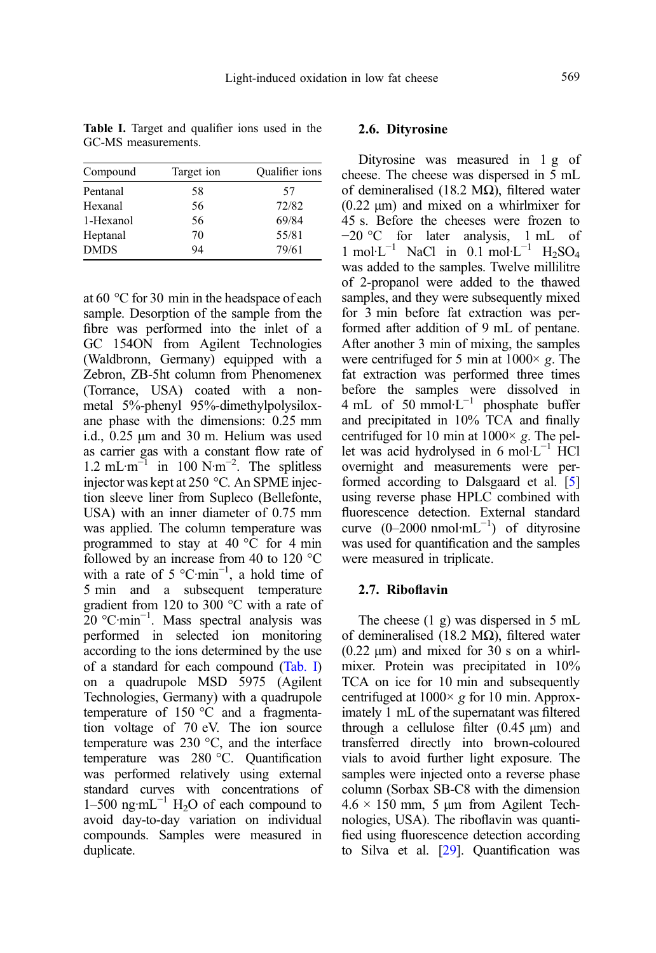| Compound    | Target ion | Qualifier ions |
|-------------|------------|----------------|
| Pentanal    | 58         | 57             |
| Hexanal     | 56         | 72/82          |
| 1-Hexanol   | 56         | 69/84          |
| Heptanal    | 70         | 55/81          |
| <b>DMDS</b> | 94         | 79/61          |

Table I. Target and qualifier ions used in the GC-MS measurements.

at 60 °C for 30 min in the headspace of each sample. Desorption of the sample from the fibre was performed into the inlet of a GC 154ON from Agilent Technologies (Waldbronn, Germany) equipped with a Zebron, ZB-5ht column from Phenomenex (Torrance, USA) coated with a nonmetal 5%-phenyl 95%-dimethylpolysiloxane phase with the dimensions: 0.25 mm i.d., 0.25 μm and 30 m. Helium was used as carrier gas with a constant flow rate of 1.2 mL·m<sup> $^{-1}$ </sup> in 100 N·m<sup>-2</sup>. The splitless injector was kept at 250 °C. An SPME injection sleeve liner from Supleco (Bellefonte, USA) with an inner diameter of 0.75 mm was applied. The column temperature was programmed to stay at  $40^{\circ}$ C for 4 min followed by an increase from 40 to 120 °C with a rate of 5  $^{\circ}$ C·min<sup>-1</sup>, a hold time of 5 min and a subsequent temperature gradient from 120 to 300 °C with a rate of 20 °C·min−<sup>1</sup> . Mass spectral analysis was performed in selected ion monitoring according to the ions determined by the use of a standard for each compound (Tab. I) on a quadrupole MSD 5975 (Agilent Technologies, Germany) with a quadrupole temperature of 150 °C and a fragmentation voltage of 70 eV. The ion source temperature was 230 °C, and the interface temperature was 280 °C. Quantification was performed relatively using external standard curves with concentrations of  $1-500$  ng·mL<sup>-1</sup> H<sub>2</sub>O of each compound to avoid day-to-day variation on individual compounds. Samples were measured in duplicate.

#### 2.6. Dityrosine

Dityrosine was measured in 1 g of cheese. The cheese was dispersed in 5 mL of demineralised (18.2 MΩ), filtered water (0.22 μm) and mixed on a whirlmixer for 45 s. Before the cheeses were frozen to −20 °C for later analysis, 1 mL of 1 mol·L<sup>-1</sup> NaCl in  $0.1 \text{ mol} \cdot L^{-1}$  H<sub>2</sub>SO<sub>4</sub> was added to the samples. Twelve millilitre of 2-propanol were added to the thawed samples, and they were subsequently mixed for 3 min before fat extraction was performed after addition of 9 mL of pentane. After another 3 min of mixing, the samples were centrifuged for 5 min at  $1000 \times g$ . The fat extraction was performed three times before the samples were dissolved in 4 mL of 50 mmol·L−<sup>1</sup> phosphate buffer and precipitated in 10% TCA and finally centrifuged for 10 min at 1000× g. The pel-<br>let was acid hydrolysed in 6 mol·L<sup>−1</sup> HCl overnight and measurements were performed according to Dalsgaard et al. [[5\]](#page-11-0) using reverse phase HPLC combined with fluorescence detection. External standard curve  $(0-2000 \text{ nmol} \cdot \text{mL}^{-1})$  of dityrosine was used for quantification and the samples were measured in triplicate.

# 2.7. Riboflavin

The cheese (1 g) was dispersed in 5 mL of demineralised (18.2 MΩ), filtered water  $(0.22 \mu m)$  and mixed for 30 s on a whirlmixer. Protein was precipitated in 10% TCA on ice for 10 min and subsequently centrifuged at  $1000 \times g$  for 10 min. Approximately 1 mL of the supernatant was filtered through a cellulose filter  $(0.45 \mu m)$  and transferred directly into brown-coloured vials to avoid further light exposure. The samples were injected onto a reverse phase column (Sorbax SB-C8 with the dimension  $4.6 \times 150$  mm, 5 μm from Agilent Technologies, USA). The riboflavin was quantified using fluorescence detection according to Silva et al. [[29\]](#page-12-0). Quantification was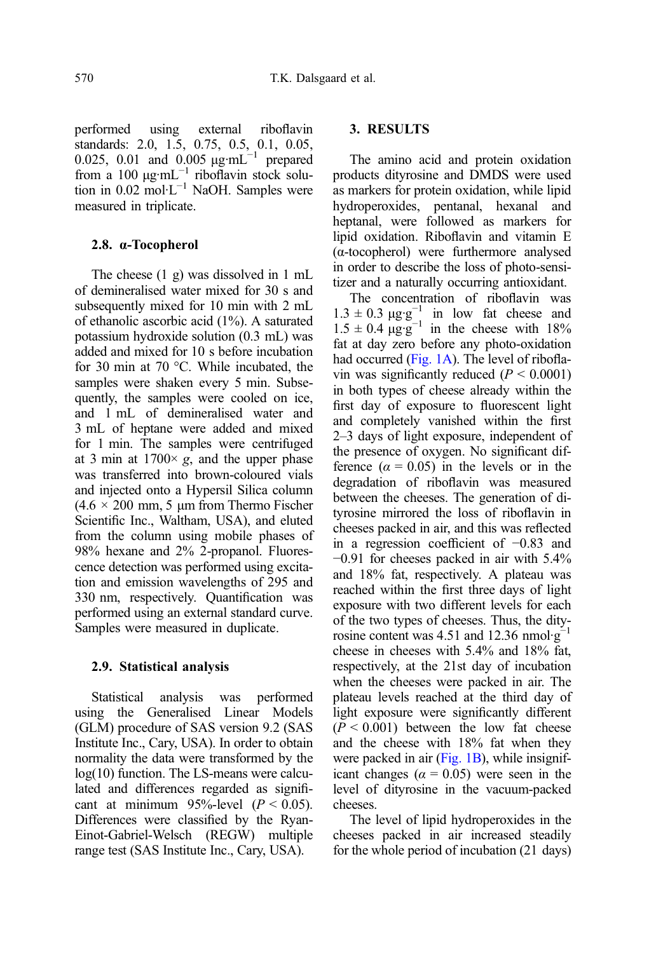performed using external riboflavin standards: 2.0, 1.5, 0.75, 0.5, 0.1, 0.05, 0.025, 0.01 and 0.005 μg·mL<sup>-1</sup> prepared from a  $100 \mu g \cdot mL^{-1}$  riboflavin stock solution in 0.02 mol·L−<sup>1</sup> NaOH. Samples were measured in triplicate.

#### 2.8. α-Tocopherol

The cheese (1 g) was dissolved in 1 mL of demineralised water mixed for 30 s and subsequently mixed for 10 min with 2 mL of ethanolic ascorbic acid (1%). A saturated potassium hydroxide solution (0.3 mL) was added and mixed for 10 s before incubation for 30 min at 70 °C. While incubated, the samples were shaken every 5 min. Subsequently, the samples were cooled on ice, and 1 mL of demineralised water and 3 mL of heptane were added and mixed for 1 min. The samples were centrifuged at 3 min at  $1700 \times g$ , and the upper phase was transferred into brown-coloured vials and injected onto a Hypersil Silica column  $(4.6 \times 200 \text{ mm}, 5 \text{ \mu m} \text{ from Thermo Fischer})$ Scientific Inc., Waltham, USA), and eluted from the column using mobile phases of 98% hexane and 2% 2-propanol. Fluorescence detection was performed using excitation and emission wavelengths of 295 and 330 nm, respectively. Quantification was performed using an external standard curve. Samples were measured in duplicate.

#### 2.9. Statistical analysis

Statistical analysis was performed using the Generalised Linear Models (GLM) procedure of SAS version 9.2 (SAS Institute Inc., Cary, USA). In order to obtain normality the data were transformed by the log(10) function. The LS-means were calculated and differences regarded as significant at minimum 95%-level  $(P < 0.05)$ . Differences were classified by the Ryan-Einot-Gabriel-Welsch (REGW) multiple range test (SAS Institute Inc., Cary, USA).

### 3. RESULTS

The amino acid and protein oxidation products dityrosine and DMDS were used as markers for protein oxidation, while lipid hydroperoxides, pentanal, hexanal and heptanal, were followed as markers for lipid oxidation. Riboflavin and vitamin E (α-tocopherol) were furthermore analysed in order to describe the loss of photo-sensitizer and a naturally occurring antioxidant.

The concentration of riboflavin was  $1.3 \pm 0.3 \mu g \cdot g^{-1}$  in low fat cheese and  $1.5 \pm 0.4 \, \mu g \cdot g^{-1}$  in the cheese with 18% fat at day zero before any photo-oxidation had occurred [\(Fig. 1A\)](#page-6-0). The level of riboflavin was significantly reduced  $(P < 0.0001)$ in both types of cheese already within the first day of exposure to fluorescent light and completely vanished within the first 2–3 days of light exposure, independent of the presence of oxygen. No significant difference  $(\alpha = 0.05)$  in the levels or in the degradation of riboflavin was measured between the cheeses. The generation of dityrosine mirrored the loss of riboflavin in cheeses packed in air, and this was reflected in a regression coefficient of −0.83 and −0.91 for cheeses packed in air with 5.4% and 18% fat, respectively. A plateau was reached within the first three days of light exposure with two different levels for each of the two types of cheeses. Thus, the dityrosine content was 4.51 and 12.36 nmol· $g^$ cheese in cheeses with 5.4% and 18% fat, respectively, at the 21st day of incubation when the cheeses were packed in air. The plateau levels reached at the third day of light exposure were significantly different  $(P < 0.001)$  between the low fat cheese and the cheese with 18% fat when they were packed in air  $(Fig. 1B)$  $(Fig. 1B)$ , while insignificant changes ( $\alpha = 0.05$ ) were seen in the level of dityrosine in the vacuum-packed cheeses.

The level of lipid hydroperoxides in the cheeses packed in air increased steadily for the whole period of incubation (21 days)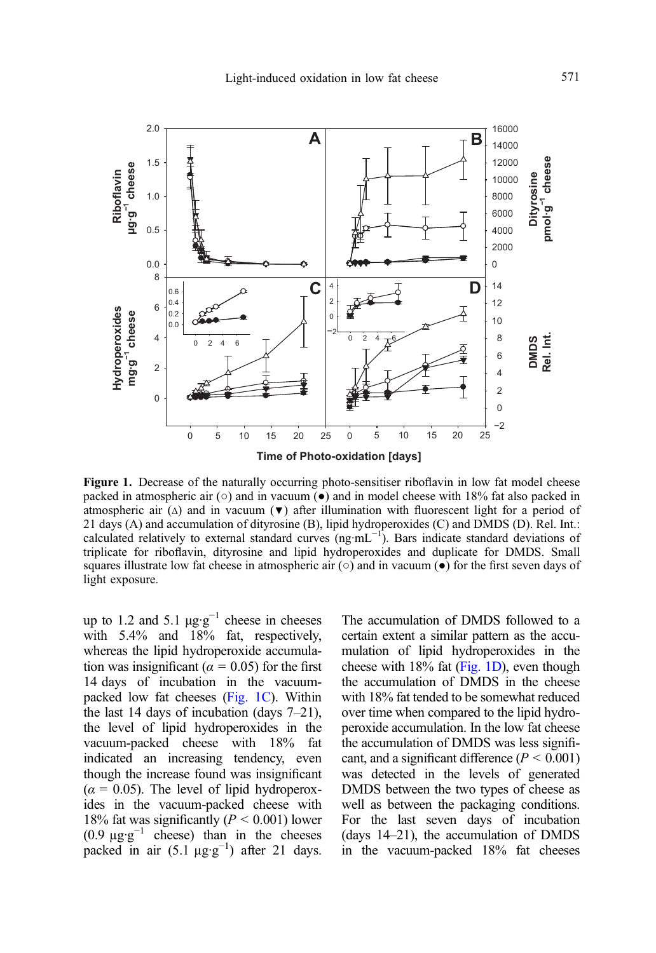<span id="page-6-0"></span>

Figure 1. Decrease of the naturally occurring photo-sensitiser riboflavin in low fat model cheese packed in atmospheric air  $(\circ)$  and in vacuum  $(\bullet)$  and in model cheese with 18% fat also packed in atmospheric air ( $\Delta$ ) and in vacuum ( $\blacktriangledown$ ) after illumination with fluorescent light for a period of 21 days (A) and accumulation of dityrosine (B), lipid hydroperoxides (C) and DMDS (D). Rel. Int.: calculated relatively to external standard curves (ng·mL<sup>-1</sup>). Bars indicate standard deviations of triplicate for riboflavin, dityrosine and lipid hydroperoxides and duplicate for DMDS. Small squares illustrate low fat cheese in atmospheric air  $(\circ)$  and in vacuum  $(\bullet)$  for the first seven days of light exposure.

up to 1.2 and 5.1  $\mu$ g·g<sup>-1</sup> cheese in cheeses with 5.4% and 18% fat, respectively, whereas the lipid hydroperoxide accumulation was insignificant ( $\alpha = 0.05$ ) for the first 14 days of incubation in the vacuumpacked low fat cheeses (Fig. 1C). Within the last 14 days of incubation (days 7–21), the level of lipid hydroperoxides in the vacuum-packed cheese with 18% fat indicated an increasing tendency, even though the increase found was insignificant  $(\alpha = 0.05)$ . The level of lipid hydroperoxides in the vacuum-packed cheese with 18% fat was significantly ( $P < 0.001$ ) lower (0.9  $\mu$ g·g<sup>-1</sup> cheese) than in the cheeses packed in air  $(5.1 \mu g \cdot g^{-1})$  after 21 days.

The accumulation of DMDS followed to a certain extent a similar pattern as the accumulation of lipid hydroperoxides in the cheese with  $18\%$  fat (Fig. 1D), even though the accumulation of DMDS in the cheese with 18% fat tended to be somewhat reduced over time when compared to the lipid hydroperoxide accumulation. In the low fat cheese the accumulation of DMDS was less significant, and a significant difference ( $P < 0.001$ ) was detected in the levels of generated DMDS between the two types of cheese as well as between the packaging conditions. For the last seven days of incubation (days 14–21), the accumulation of DMDS in the vacuum-packed 18% fat cheeses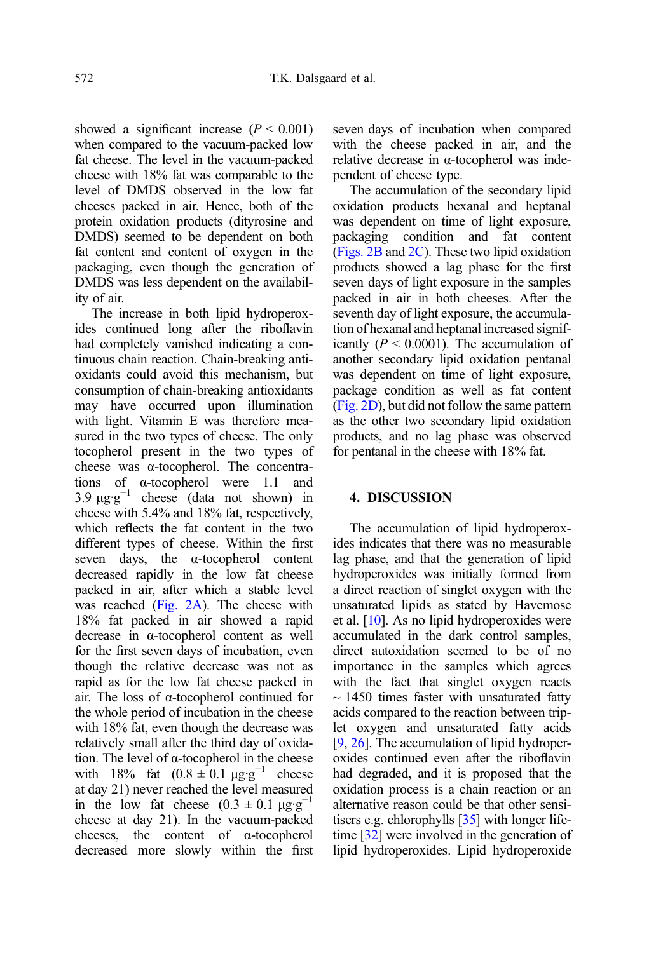showed a significant increase  $(P < 0.001)$ when compared to the vacuum-packed low fat cheese. The level in the vacuum-packed cheese with 18% fat was comparable to the level of DMDS observed in the low fat cheeses packed in air. Hence, both of the protein oxidation products (dityrosine and DMDS) seemed to be dependent on both fat content and content of oxygen in the packaging, even though the generation of DMDS was less dependent on the availability of air.

The increase in both lipid hydroperoxides continued long after the riboflavin had completely vanished indicating a continuous chain reaction. Chain-breaking antioxidants could avoid this mechanism, but consumption of chain-breaking antioxidants may have occurred upon illumination with light. Vitamin E was therefore measured in the two types of cheese. The only tocopherol present in the two types of cheese was α-tocopherol. The concentrations of α-tocopherol were 1.1 and 3.9  $\mu$ g·g<sup>-1</sup> cheese (data not shown) in cheese with 5.4% and 18% fat, respectively, which reflects the fat content in the two different types of cheese. Within the first seven days, the α-tocopherol content decreased rapidly in the low fat cheese packed in air, after which a stable level was reached ([Fig. 2A](#page-8-0)). The cheese with 18% fat packed in air showed a rapid decrease in α-tocopherol content as well for the first seven days of incubation, even though the relative decrease was not as rapid as for the low fat cheese packed in air. The loss of α-tocopherol continued for the whole period of incubation in the cheese with 18% fat, even though the decrease was relatively small after the third day of oxidation. The level of α-tocopherol in the cheese with 18% fat  $(0.8 \pm 0.1 \text{ µg} \cdot \text{g}^{-1})$  cheese at day 21) never reached the level measured in the low fat cheese  $(0.3 \pm 0.1 \mu g \cdot g^{-1})$ cheese at day 21). In the vacuum-packed cheeses, the content of α-tocopherol decreased more slowly within the first seven days of incubation when compared with the cheese packed in air, and the relative decrease in α-tocopherol was independent of cheese type.

The accumulation of the secondary lipid oxidation products hexanal and heptanal was dependent on time of light exposure, packaging condition and fat content ([Figs. 2B](#page-8-0) and [2C\)](#page-8-0). These two lipid oxidation products showed a lag phase for the first seven days of light exposure in the samples packed in air in both cheeses. After the seventh day of light exposure, the accumulation of hexanal and heptanal increased significantly  $(P < 0.0001)$ . The accumulation of another secondary lipid oxidation pentanal was dependent on time of light exposure, package condition as well as fat content ([Fig. 2D\)](#page-8-0), but did not follow the same pattern as the other two secondary lipid oxidation products, and no lag phase was observed for pentanal in the cheese with 18% fat.

# 4. DISCUSSION

The accumulation of lipid hydroperoxides indicates that there was no measurable lag phase, and that the generation of lipid hydroperoxides was initially formed from a direct reaction of singlet oxygen with the unsaturated lipids as stated by Havemose et al. [\[10\]](#page-11-0). As no lipid hydroperoxides were accumulated in the dark control samples, direct autoxidation seemed to be of no importance in the samples which agrees with the fact that singlet oxygen reacts  $\sim$  1450 times faster with unsaturated fatty acids compared to the reaction between triplet oxygen and unsaturated fatty acids [[9](#page-11-0), [26](#page-12-0)]. The accumulation of lipid hydroperoxides continued even after the riboflavin had degraded, and it is proposed that the oxidation process is a chain reaction or an alternative reason could be that other sensitisers e.g. chlorophylls [\[35\]](#page-12-0) with longer lifetime [\[32\]](#page-12-0) were involved in the generation of lipid hydroperoxides. Lipid hydroperoxide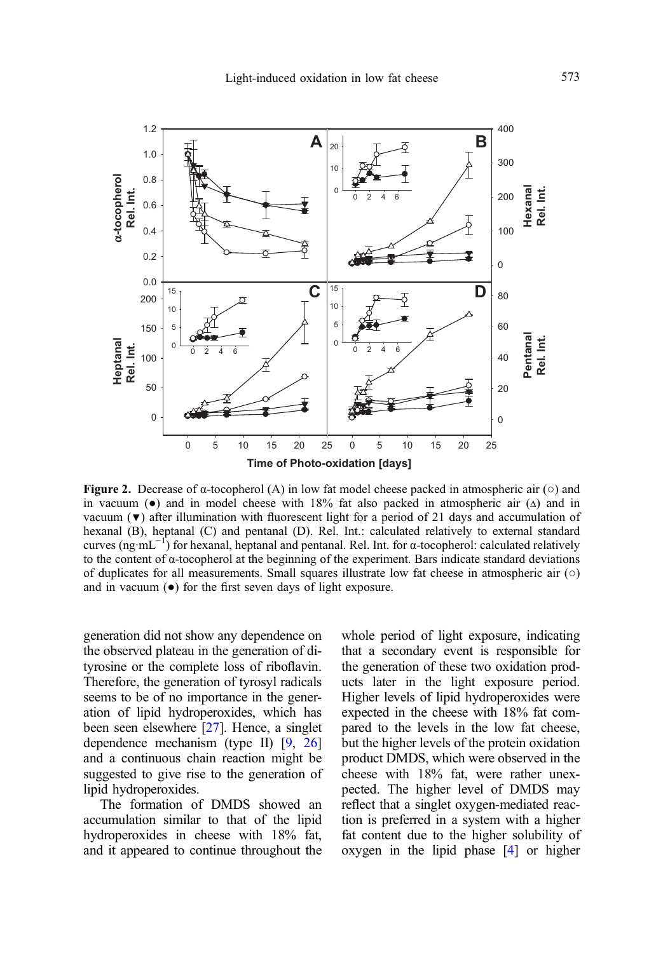<span id="page-8-0"></span>

Figure 2. Decrease of  $\alpha$ -tocopherol (A) in low fat model cheese packed in atmospheric air ( $\circ$ ) and in vacuum ( $\bullet$ ) and in model cheese with 18% fat also packed in atmospheric air ( $\Delta$ ) and in vacuum  $(\triangledown)$  after illumination with fluorescent light for a period of 21 days and accumulation of hexanal (B), heptanal (C) and pentanal (D). Rel. Int.: calculated relatively to external standard curves (ng·mL−<sup>1</sup> ) for hexanal, heptanal and pentanal. Rel. Int. for α-tocopherol: calculated relatively to the content of α-tocopherol at the beginning of the experiment. Bars indicate standard deviations of duplicates for all measurements. Small squares illustrate low fat cheese in atmospheric air  $(\circ)$ and in vacuum  $\left( \bullet \right)$  for the first seven days of light exposure.

generation did not show any dependence on the observed plateau in the generation of dityrosine or the complete loss of riboflavin. Therefore, the generation of tyrosyl radicals seems to be of no importance in the generation of lipid hydroperoxides, which has been seen elsewhere [\[27\]](#page-12-0). Hence, a singlet dependence mechanism (type II) [[9,](#page-11-0) [26](#page-12-0)] and a continuous chain reaction might be suggested to give rise to the generation of lipid hydroperoxides.

The formation of DMDS showed an accumulation similar to that of the lipid hydroperoxides in cheese with 18% fat, and it appeared to continue throughout the whole period of light exposure, indicating that a secondary event is responsible for the generation of these two oxidation products later in the light exposure period. Higher levels of lipid hydroperoxides were expected in the cheese with 18% fat compared to the levels in the low fat cheese, but the higher levels of the protein oxidation product DMDS, which were observed in the cheese with 18% fat, were rather unexpected. The higher level of DMDS may reflect that a singlet oxygen-mediated reaction is preferred in a system with a higher fat content due to the higher solubility of For the light considered in the light considered in the light of the light of the light consideration of the light consider the light consideration of the light consider the light consider the light consider the denoted in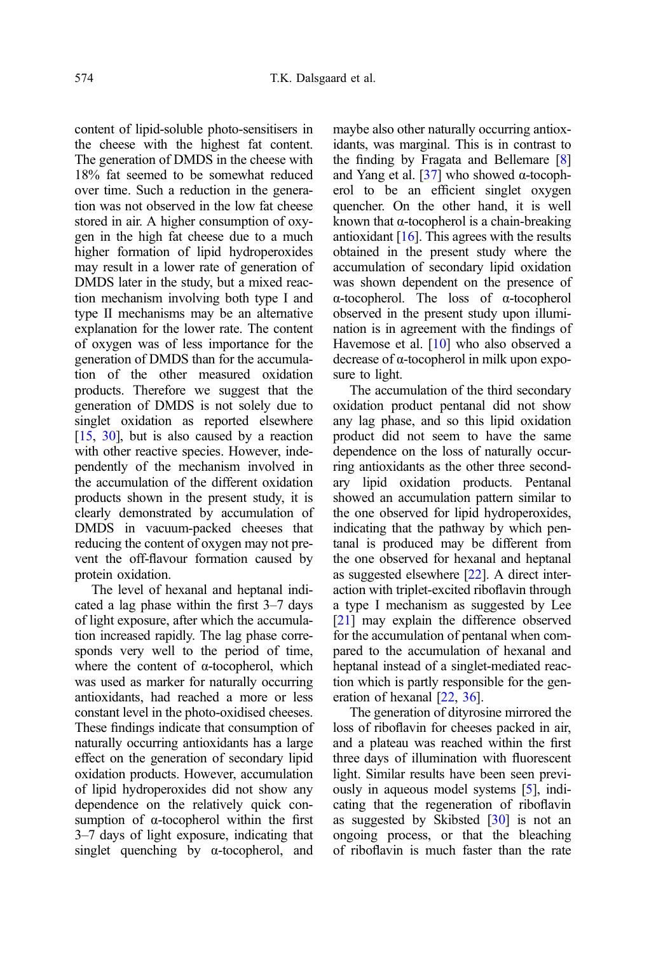content of lipid-soluble photo-sensitisers in the cheese with the highest fat content. The generation of DMDS in the cheese with 18% fat seemed to be somewhat reduced over time. Such a reduction in the generation was not observed in the low fat cheese stored in air. A higher consumption of oxygen in the high fat cheese due to a much higher formation of lipid hydroperoxides may result in a lower rate of generation of DMDS later in the study, but a mixed reaction mechanism involving both type I and type II mechanisms may be an alternative explanation for the lower rate. The content of oxygen was of less importance for the generation of DMDS than for the accumulation of the other measured oxidation products. Therefore we suggest that the generation of DMDS is not solely due to singlet oxidation as reported elsewhere  $[15, 30]$  $[15, 30]$  $[15, 30]$ , but is also caused by a reaction with other reactive species. However, independently of the mechanism involved in the accumulation of the different oxidation products shown in the present study, it is clearly demonstrated by accumulation of DMDS in vacuum-packed cheeses that reducing the content of oxygen may not prevent the off-flavour formation caused by protein oxidation.

The level of hexanal and heptanal indicated a lag phase within the first 3–7 days of light exposure, after which the accumulation increased rapidly. The lag phase corresponds very well to the period of time, where the content of  $\alpha$ -tocopherol, which was used as marker for naturally occurring antioxidants, had reached a more or less constant level in the photo-oxidised cheeses. These findings indicate that consumption of naturally occurring antioxidants has a large effect on the generation of secondary lipid oxidation products. However, accumulation of lipid hydroperoxides did not show any dependence on the relatively quick consumption of α-tocopherol within the first 3–7 days of light exposure, indicating that singlet quenching by  $\alpha$ -tocopherol, and maybe also other naturally occurring antioxidants, was marginal. This is in contrast to the finding by Fragata and Bellemare [[8](#page-11-0)] and Yang et al. [\[37\]](#page-12-0) who showed α-tocopherol to be an efficient singlet oxygen quencher. On the other hand, it is well known that  $\alpha$ -tocopherol is a chain-breaking antioxidant  $[16]$ . This agrees with the results obtained in the present study where the accumulation of secondary lipid oxidation was shown dependent on the presence of α-tocopherol. The loss of α-tocopherol observed in the present study upon illumination is in agreement with the findings of Havemose et al. [[10](#page-11-0)] who also observed a decrease of α-tocopherol in milk upon exposure to light.

The accumulation of the third secondary oxidation product pentanal did not show any lag phase, and so this lipid oxidation product did not seem to have the same dependence on the loss of naturally occurring antioxidants as the other three secondary lipid oxidation products. Pentanal showed an accumulation pattern similar to the one observed for lipid hydroperoxides, indicating that the pathway by which pentanal is produced may be different from the one observed for hexanal and heptanal as suggested elsewhere [\[22\]](#page-11-0). A direct interaction with triplet-excited riboflavin through a type I mechanism as suggested by Lee [[21](#page-11-0)] may explain the difference observed for the accumulation of pentanal when compared to the accumulation of hexanal and heptanal instead of a singlet-mediated reaction which is partly responsible for the generation of hexanal [[22](#page-11-0), [36\]](#page-12-0).

The generation of dityrosine mirrored the loss of riboflavin for cheeses packed in air, and a plateau was reached within the first three days of illumination with fluorescent light. Similar results have been seen previously in aqueous model systems [\[5](#page-11-0)], indicating that the regeneration of riboflavin as suggested by Skibsted [[30\]](#page-12-0) is not an ongoing process, or that the bleaching of riboflavin is much faster than the rate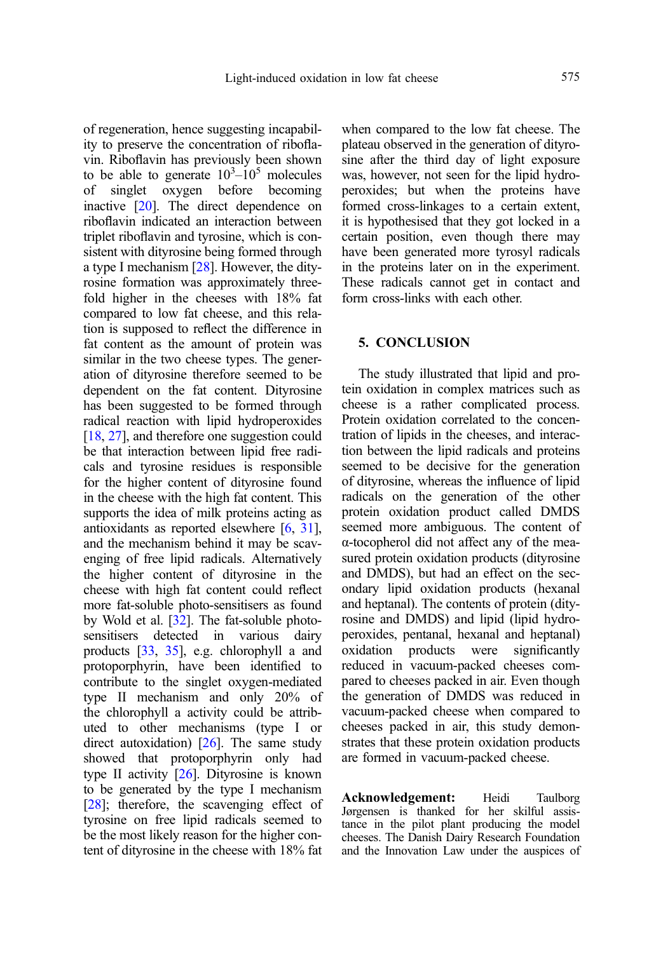of regeneration, hence suggesting incapability to preserve the concentration of riboflavin. Riboflavin has previously been shown to be able to generate  $10^3 - 10^5$  molecules of singlet oxygen before becoming inactive [[20](#page-11-0)]. The direct dependence on riboflavin indicated an interaction between triplet riboflavin and tyrosine, which is consistent with dityrosine being formed through a type I mechanism [\[28\]](#page-12-0). However, the dityrosine formation was approximately threefold higher in the cheeses with 18% fat compared to low fat cheese, and this relation is supposed to reflect the difference in fat content as the amount of protein was similar in the two cheese types. The generation of dityrosine therefore seemed to be dependent on the fat content. Dityrosine has been suggested to be formed through radical reaction with lipid hydroperoxides [[18](#page-11-0), [27\]](#page-12-0), and therefore one suggestion could be that interaction between lipid free radicals and tyrosine residues is responsible for the higher content of dityrosine found in the cheese with the high fat content. This supports the idea of milk proteins acting as antioxidants as reported elsewhere [\[6,](#page-11-0) [31](#page-12-0)], and the mechanism behind it may be scavenging of free lipid radicals. Alternatively the higher content of dityrosine in the cheese with high fat content could reflect more fat-soluble photo-sensitisers as found by Wold et al. [\[32\]](#page-12-0). The fat-soluble photosensitisers detected in various dairy products [[33](#page-12-0), [35\]](#page-12-0), e.g. chlorophyll a and protoporphyrin, have been identified to contribute to the singlet oxygen-mediated type II mechanism and only 20% of the chlorophyll a activity could be attributed to other mechanisms (type I or direct autoxidation) [[26](#page-12-0)]. The same study showed that protoporphyrin only had type II activity  $[26]$  $[26]$  $[26]$ . Dityrosine is known to be generated by the type I mechanism [[28](#page-12-0)]; therefore, the scavenging effect of tyrosine on free lipid radicals seemed to be the most likely reason for the higher content of dityrosine in the cheese with 18% fat when compared to the low fat cheese. The plateau observed in the generation of dityrosine after the third day of light exposure was, however, not seen for the lipid hydroperoxides; but when the proteins have formed cross-linkages to a certain extent, it is hypothesised that they got locked in a certain position, even though there may have been generated more tyrosyl radicals in the proteins later on in the experiment. These radicals cannot get in contact and form cross-links with each other.

#### 5. CONCLUSION

The study illustrated that lipid and protein oxidation in complex matrices such as cheese is a rather complicated process. Protein oxidation correlated to the concentration of lipids in the cheeses, and interaction between the lipid radicals and proteins seemed to be decisive for the generation of dityrosine, whereas the influence of lipid radicals on the generation of the other protein oxidation product called DMDS seemed more ambiguous. The content of α-tocopherol did not affect any of the measured protein oxidation products (dityrosine and DMDS), but had an effect on the secondary lipid oxidation products (hexanal and heptanal). The contents of protein (dityrosine and DMDS) and lipid (lipid hydroperoxides, pentanal, hexanal and heptanal) oxidation products were significantly reduced in vacuum-packed cheeses compared to cheeses packed in air. Even though the generation of DMDS was reduced in vacuum-packed cheese when compared to cheeses packed in air, this study demonstrates that these protein oxidation products are formed in vacuum-packed cheese.

Acknowledgement: Heidi Taulborg Jørgensen is thanked for her skilful assistance in the pilot plant producing the model cheeses. The Danish Dairy Research Foundation and the Innovation Law under the auspices of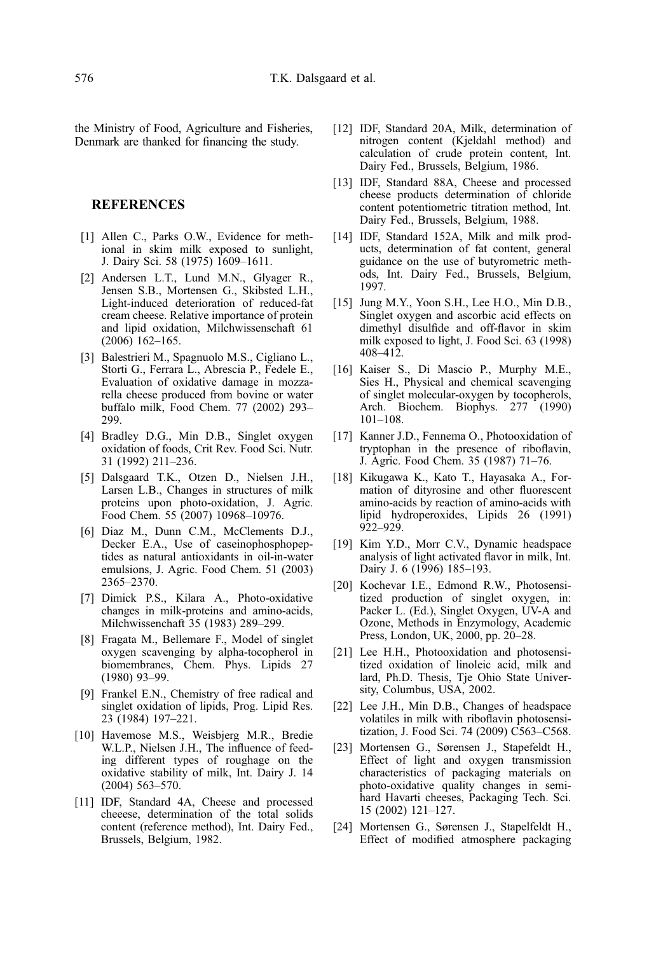<span id="page-11-0"></span>the Ministry of Food, Agriculture and Fisheries, Denmark are thanked for financing the study.

#### REFERENCES

- [1] Allen C., Parks O.W., Evidence for methional in skim milk exposed to sunlight, J. Dairy Sci. 58 (1975) 1609–1611.
- [2] Andersen L.T., Lund M.N., Glyager R., Jensen S.B., Mortensen G., Skibsted L.H., Light-induced deterioration of reduced-fat cream cheese. Relative importance of protein and lipid oxidation, Milchwissenschaft 61 (2006) 162–165.
- [3] Balestrieri M., Spagnuolo M.S., Cigliano L., Storti G., Ferrara L., Abrescia P., Fedele E., Evaluation of oxidative damage in mozzarella cheese produced from bovine or water buffalo milk, Food Chem. 77 (2002) 293– 299.
- [4] Bradley D.G., Min D.B., Singlet oxygen oxidation of foods, Crit Rev. Food Sci. Nutr. 31 (1992) 211–236.
- [5] Dalsgaard T.K., Otzen D., Nielsen J.H., Larsen L.B., Changes in structures of milk proteins upon photo-oxidation, J. Agric. Food Chem. 55 (2007) 10968–10976.
- [6] Diaz M., Dunn C.M., McClements D.J., Decker E.A., Use of caseinophosphopeptides as natural antioxidants in oil-in-water emulsions, J. Agric. Food Chem. 51 (2003) 2365–2370.
- [7] Dimick P.S., Kilara A., Photo-oxidative changes in milk-proteins and amino-acids, Milchwissenchaft 35 (1983) 289–299.
- [8] Fragata M., Bellemare F., Model of singlet oxygen scavenging by alpha-tocopherol in biomembranes, Chem. Phys. Lipids 27 (1980) 93–99.
- [9] Frankel E.N., Chemistry of free radical and singlet oxidation of lipids, Prog. Lipid Res. 23 (1984) 197–221.
- [10] Havemose M.S., Weisbjerg M.R., Bredie W.L.P., Nielsen J.H., The influence of feeding different types of roughage on the oxidative stability of milk, Int. Dairy J. 14 (2004) 563–570.
- [11] IDF, Standard 4A, Cheese and processed cheeese, determination of the total solids content (reference method), Int. Dairy Fed., Brussels, Belgium, 1982.
- [12] IDF, Standard 20A, Milk, determination of nitrogen content (Kjeldahl method) and calculation of crude protein content, Int. Dairy Fed., Brussels, Belgium, 1986.
- [13] IDF, Standard 88A, Cheese and processed cheese products determination of chloride content potentiometric titration method, Int. Dairy Fed., Brussels, Belgium, 1988.
- [14] IDF, Standard 152A, Milk and milk products, determination of fat content, general guidance on the use of butyrometric methods, Int. Dairy Fed., Brussels, Belgium, 1997.
- [15] Jung M.Y., Yoon S.H., Lee H.O., Min D.B., Singlet oxygen and ascorbic acid effects on dimethyl disulfide and off-flavor in skim milk exposed to light, J. Food Sci. 63 (1998) 408–412.
- [16] Kaiser S., Di Mascio P., Murphy M.E., Sies H., Physical and chemical scavenging of singlet molecular-oxygen by tocopherols, Arch. Biochem. Biophys. 277 (1990) 101–108.
- [17] Kanner J.D., Fennema O., Photooxidation of tryptophan in the presence of riboflavin, J. Agric. Food Chem. 35 (1987) 71–76.
- [18] Kikugawa K., Kato T., Hayasaka A., Formation of dityrosine and other fluorescent amino-acids by reaction of amino-acids with lipid hydroperoxides, Lipids 26 (1991) 922–929.
- [19] Kim Y.D., Morr C.V., Dynamic headspace analysis of light activated flavor in milk, Int. Dairy J. 6 (1996) 185–193.
- [20] Kochevar I.E., Edmond R.W., Photosensitized production of singlet oxygen, in: Packer L. (Ed.), Singlet Oxygen, UV-A and Ozone, Methods in Enzymology, Academic Press, London, UK, 2000, pp. 20–28.
- [21] Lee H.H., Photooxidation and photosensitized oxidation of linoleic acid, milk and lard, Ph.D. Thesis, Tje Ohio State University, Columbus, USA, 2002.
- [22] Lee J.H., Min D.B., Changes of headspace volatiles in milk with riboflavin photosensitization, J. Food Sci. 74 (2009) C563–C568.
- [23] Mortensen G., Sørensen J., Stapefeldt H., Effect of light and oxygen transmission characteristics of packaging materials on photo-oxidative quality changes in semihard Havarti cheeses, Packaging Tech. Sci. 15 (2002) 121–127.
- [24] Mortensen G., Sørensen J., Stapelfeldt H., Effect of modified atmosphere packaging